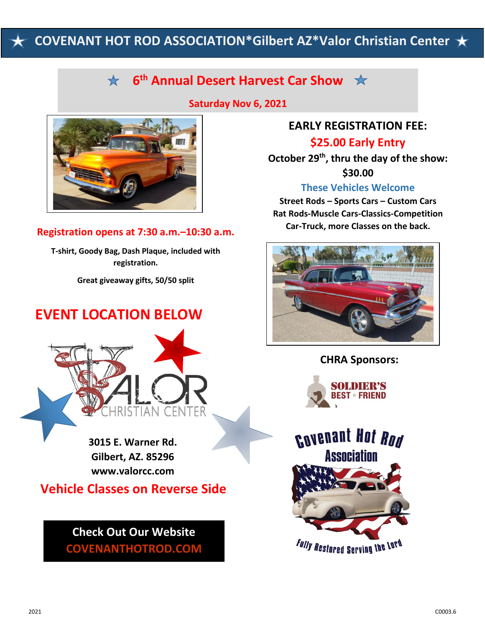# **COVENANT HOT ROD ASSOCIATION\*Gilbert AZ\*Valor Christian Center**

# **6 th Annual Desert Harvest Car Show**

**Saturday Nov 6, 2021**



**Registration opens at 7:30 a.m.–10:30 a.m.**

**T-shirt, Goody Bag, Dash Plaque, included with registration.**

**Great giveaway gifts, 50/50 split**

## **EVENT LOCATION BELOW**



**3015 E. Warner Rd. Gilbert, AZ. 85296 www.valorcc.com**

**Vehicle Classes on Reverse Side**

## **Check Out Our Website COVENANTHOTROD.COM**

## **EARLY REGISTRATION FEE:**

**\$25.00 Early Entry**

**October 29 th, thru the day of the show: \$30.00**

### **These Vehicles Welcome**

**Street Rods – Sports Cars – Custom Cars Rat Rods-Muscle Cars-Classics-Competition Car-Truck, more Classes on the back.**



### **CHRA Sponsors:**